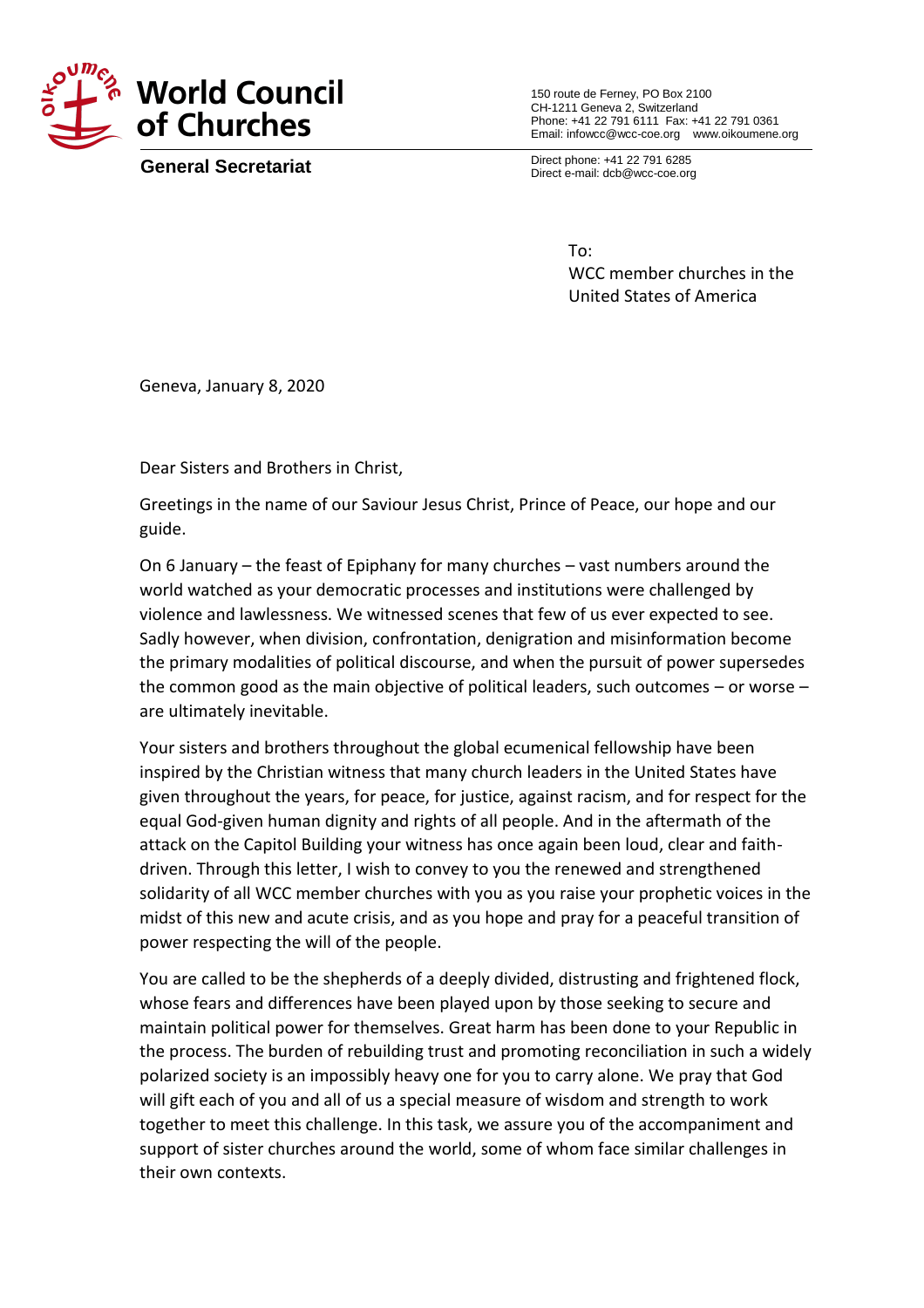

**General Secretariat**

150 route de Ferney, PO Box 2100 CH-1211 Geneva 2, Switzerland Phone: +41 22 791 6111 Fax: +41 22 791 0361 Email: infowcc@wcc-coe.org [www.oikoumene.org](http://www.oikoumene.org/)

Direct phone: +41 22 791 6285 Direct e-mail: dcb@wcc-coe.org

> To: WCC member churches in the United States of America

Geneva, January 8, 2020

Dear Sisters and Brothers in Christ,

Greetings in the name of our Saviour Jesus Christ, Prince of Peace, our hope and our guide.

On 6 January – the feast of Epiphany for many churches – vast numbers around the world watched as your democratic processes and institutions were challenged by violence and lawlessness. We witnessed scenes that few of us ever expected to see. Sadly however, when division, confrontation, denigration and misinformation become the primary modalities of political discourse, and when the pursuit of power supersedes the common good as the main objective of political leaders, such outcomes – or worse – are ultimately inevitable.

Your sisters and brothers throughout the global ecumenical fellowship have been inspired by the Christian witness that many church leaders in the United States have given throughout the years, for peace, for justice, against racism, and for respect for the equal God-given human dignity and rights of all people. And in the aftermath of the attack on the Capitol Building your witness has once again been loud, clear and faithdriven. Through this letter, I wish to convey to you the renewed and strengthened solidarity of all WCC member churches with you as you raise your prophetic voices in the midst of this new and acute crisis, and as you hope and pray for a peaceful transition of power respecting the will of the people.

You are called to be the shepherds of a deeply divided, distrusting and frightened flock, whose fears and differences have been played upon by those seeking to secure and maintain political power for themselves. Great harm has been done to your Republic in the process. The burden of rebuilding trust and promoting reconciliation in such a widely polarized society is an impossibly heavy one for you to carry alone. We pray that God will gift each of you and all of us a special measure of wisdom and strength to work together to meet this challenge. In this task, we assure you of the accompaniment and support of sister churches around the world, some of whom face similar challenges in their own contexts.